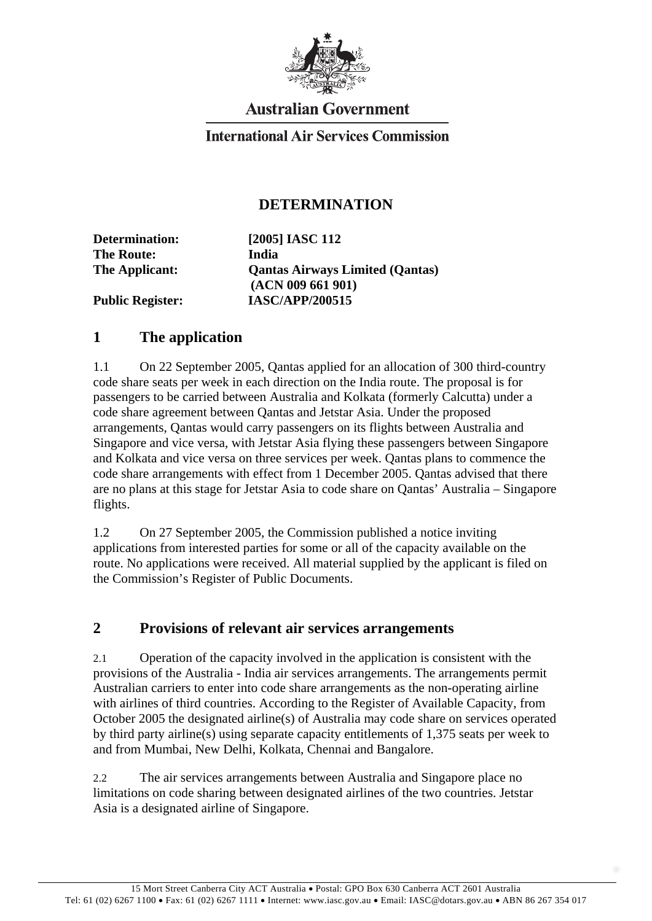

# **Australian Government**

### **International Air Services Commission**

#### **DETERMINATION**

**Determination: [2005] IASC 112 The Route: India The Applicant: Qantas Airways Limited (Qantas) (ACN 009 661 901) Public Register: IASC/APP/200515** 

# **1 The application**

1.1 On 22 September 2005, Qantas applied for an allocation of 300 third-country code share seats per week in each direction on the India route. The proposal is for passengers to be carried between Australia and Kolkata (formerly Calcutta) under a code share agreement between Qantas and Jetstar Asia. Under the proposed arrangements, Qantas would carry passengers on its flights between Australia and Singapore and vice versa, with Jetstar Asia flying these passengers between Singapore and Kolkata and vice versa on three services per week. Qantas plans to commence the code share arrangements with effect from 1 December 2005. Qantas advised that there are no plans at this stage for Jetstar Asia to code share on Qantas' Australia – Singapore flights.

1.2 On 27 September 2005, the Commission published a notice inviting applications from interested parties for some or all of the capacity available on the route. No applications were received. All material supplied by the applicant is filed on the Commission's Register of Public Documents.

#### **2 Provisions of relevant air services arrangements**

2.1 Operation of the capacity involved in the application is consistent with the provisions of the Australia - India air services arrangements. The arrangements permit Australian carriers to enter into code share arrangements as the non-operating airline with airlines of third countries. According to the Register of Available Capacity, from October 2005 the designated airline(s) of Australia may code share on services operated by third party airline(s) using separate capacity entitlements of 1,375 seats per week to and from Mumbai, New Delhi, Kolkata, Chennai and Bangalore.

2.2 The air services arrangements between Australia and Singapore place no limitations on code sharing between designated airlines of the two countries. Jetstar Asia is a designated airline of Singapore.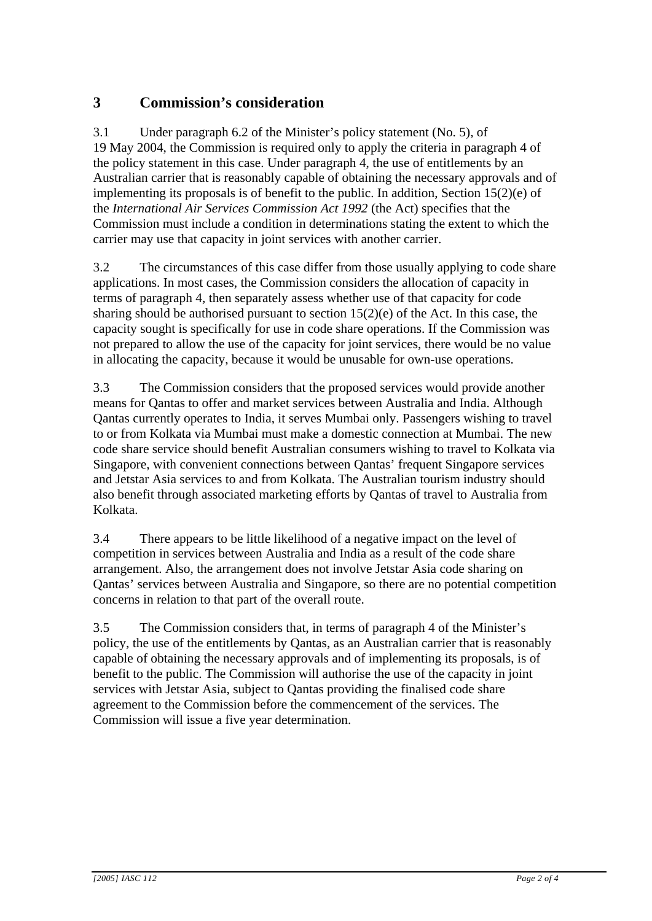## **3 Commission's consideration**

3.1 Under paragraph 6.2 of the Minister's policy statement (No. 5), of 19 May 2004, the Commission is required only to apply the criteria in paragraph 4 of the policy statement in this case. Under paragraph 4, the use of entitlements by an Australian carrier that is reasonably capable of obtaining the necessary approvals and of implementing its proposals is of benefit to the public. In addition, Section 15(2)(e) of the *International Air Services Commission Act 1992* (the Act) specifies that the Commission must include a condition in determinations stating the extent to which the carrier may use that capacity in joint services with another carrier.

3.2 The circumstances of this case differ from those usually applying to code share applications. In most cases, the Commission considers the allocation of capacity in terms of paragraph 4, then separately assess whether use of that capacity for code sharing should be authorised pursuant to section  $15(2)(e)$  of the Act. In this case, the capacity sought is specifically for use in code share operations. If the Commission was not prepared to allow the use of the capacity for joint services, there would be no value in allocating the capacity, because it would be unusable for own-use operations.

3.3 The Commission considers that the proposed services would provide another means for Qantas to offer and market services between Australia and India. Although Qantas currently operates to India, it serves Mumbai only. Passengers wishing to travel to or from Kolkata via Mumbai must make a domestic connection at Mumbai. The new code share service should benefit Australian consumers wishing to travel to Kolkata via Singapore, with convenient connections between Qantas' frequent Singapore services and Jetstar Asia services to and from Kolkata. The Australian tourism industry should also benefit through associated marketing efforts by Qantas of travel to Australia from Kolkata.

3.4 There appears to be little likelihood of a negative impact on the level of competition in services between Australia and India as a result of the code share arrangement. Also, the arrangement does not involve Jetstar Asia code sharing on Qantas' services between Australia and Singapore, so there are no potential competition concerns in relation to that part of the overall route.

3.5 The Commission considers that, in terms of paragraph 4 of the Minister's policy, the use of the entitlements by Qantas, as an Australian carrier that is reasonably capable of obtaining the necessary approvals and of implementing its proposals, is of benefit to the public. The Commission will authorise the use of the capacity in joint services with Jetstar Asia, subject to Qantas providing the finalised code share agreement to the Commission before the commencement of the services. The Commission will issue a five year determination.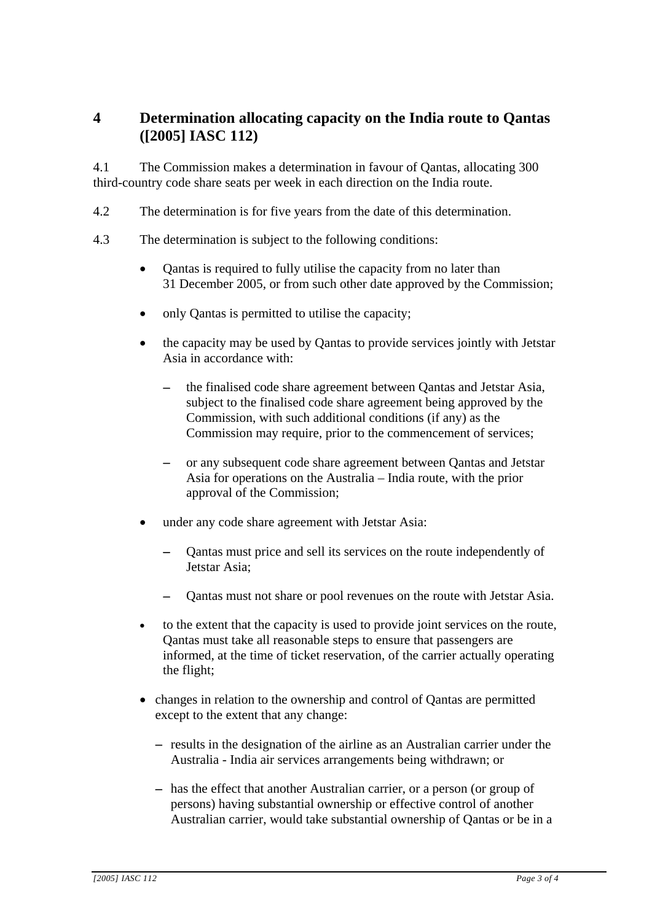## **4 Determination allocating capacity on the India route to Qantas ([2005] IASC 112)**

4.1 The Commission makes a determination in favour of Qantas, allocating 300 third-country code share seats per week in each direction on the India route.

- 4.2 The determination is for five years from the date of this determination.
- 4.3 The determination is subject to the following conditions:
	- Qantas is required to fully utilise the capacity from no later than 31 December 2005, or from such other date approved by the Commission;  $\bullet$
	- only Qantas is permitted to utilise the capacity;
	- the capacity may be used by Qantas to provide services jointly with Jetstar Asia in accordance with:
		- the finalised code share agreement between Qantas and Jetstar Asia, subject to the finalised code share agreement being approved by the Commission, with such additional conditions (if any) as the Commission may require, prior to the commencement of services;
		- or any subsequent code share agreement between Qantas and Jetstar Asia for operations on the Australia – India route, with the prior approval of the Commission;
	- under any code share agreement with Jetstar Asia:
		- Qantas must price and sell its services on the route independently of Jetstar Asia;
		- Qantas must not share or pool revenues on the route with Jetstar Asia.
	- to the extent that the capacity is used to provide joint services on the route, Qantas must take all reasonable steps to ensure that passengers are informed, at the time of ticket reservation, of the carrier actually operating the flight;
	- changes in relation to the ownership and control of Qantas are permitted except to the extent that any change:
		- − results in the designation of the airline as an Australian carrier under the Australia - India air services arrangements being withdrawn; or
		- − has the effect that another Australian carrier, or a person (or group of persons) having substantial ownership or effective control of another Australian carrier, would take substantial ownership of Qantas or be in a